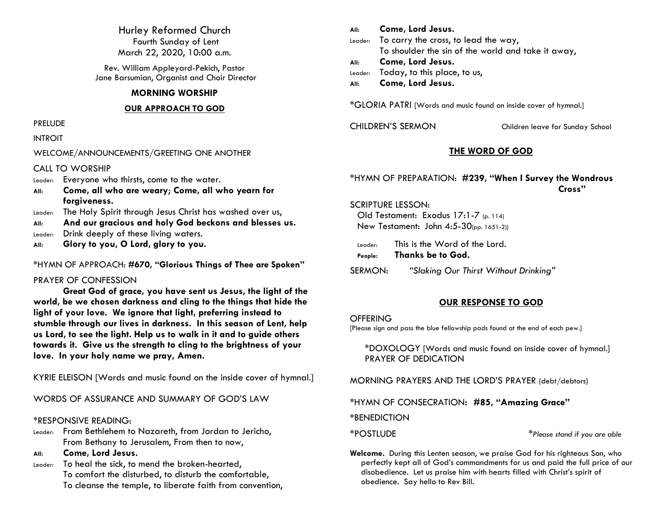Hurley Reformed Church Fourth Sunday of Lent March 22, 2020, 10:00 a.m.

Rev. William Appleyard-Pekich, Pastor Jane Barsumian, Organist and Choir Director

# **MORNING WORSHIP**

## **OUR APPROACH TO GOD**

PRELUDE

# INTROIT

# WELCOME/ANNOUNCEMENTS/GREETING ONE ANOTHER

CALL TO WORSHIP

- Leader: Everyone who thirsts, come to the water.
- **All: Come, all who are weary**; **Come, all who yearn for forgiveness.**
- Leader: The Holy Spirit through Jesus Christ has washed over us,
- **All: And our gracious and holy God beckons and blesses us.**
- Leader: Drink deeply of these living waters.
- **All: Glory to you, O Lord, glory to you.**

# \*HYMN OF APPROACH: **#670, "Glorious Things of Thee are Spoken"**

# PRAYER OF CONFESSION

**Great God of grace, you have sent us Jesus, the light of the world, be we chosen darkness and cling to the things that hide the light of your love. We ignore that light, preferring instead to stumble through our lives in darkness. In this season of Lent, help us Lord, to see the light. Help us to walk in it and to guide others towards it. Give us the strength to cling to the brightness of your love. In your holy name we pray, Amen.**

KYRIE ELEISON [Words and music found on the inside cover of hymnal.]

WORDS OF ASSURANCE AND SUMMARY OF GOD'S LAW

# \*RESPONSIVE READING:

Leader: From Bethlehem to Nazareth, from Jordan to Jericho, From Bethany to Jerusalem, From then to now,

**All: Come, Lord Jesus.**

Leader: To heal the sick, to mend the broken-hearted, To comfort the disturbed, to disturb the comfortable, To cleanse the temple, to liberate faith from convention,

**All: Come, Lord Jesus.** Leader: To carry the cross, to lead the way, To shoulder the sin of the world and take it away, **All: Come, Lord Jesus.** Leader: Today, to this place, to us, **All: Come, Lord Jesus.**

\*GLORIA PATRI [Words and music found on inside cover of hymnal.]

CHILDREN'S SERMON Children leave for Sunday School

# **THE WORD OF GOD**

# \*HYMN OF PREPARATION: **#239, "When I Survey the Wondrous Cross"**

# SCRIPTURE LESSON:

Old Testament: Exodus 17:1-7 (p. 114) New Testament: John 4:5-30(pp. 1651-2))

| Leader: | This is the Word of the Lord. |
|---------|-------------------------------|
| People: | <b>Thanks be to God.</b>      |

SERMON: *"Slaking Our Thirst Without Drinking"*

# **OUR RESPONSE TO GOD**

# **OFFERING**

[Please sign and pass the blue fellowship pads found at the end of each pew.]

\*DOXOLOGY [Words and music found on inside cover of hymnal.] PRAYER OF DEDICATION

MORNING PRAYERS AND THE LORD'S PRAYER (debt/debtors)

\*HYMN OF CONSECRATION**: #85, "Amazing Grace"**

**\***BENEDICTION

\*POSTLUDE \**Please stand if you are able*

**Welcome.** During this Lenten season, we praise God for his righteous Son, who perfectly kept all of God's commandments for us and paid the full price of our disobedience. Let us praise him with hearts filled with Christ's spirit of obedience. Say hello to Rev Bill.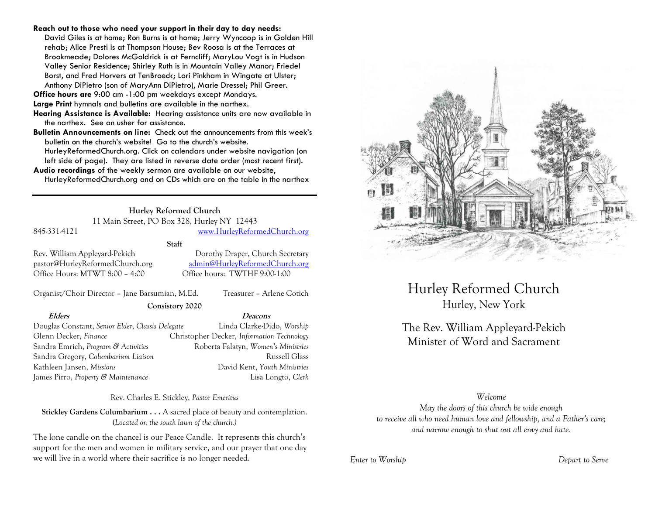### **Reach out to those who need your support in their day to day needs:**

David Giles is at home; Ron Burns is at home; Jerry Wyncoop is in Golden Hill rehab; Alice Presti is at Thompson House; Bev Roosa is at the Terraces at Brookmeade; Dolores McGoldrick is at Ferncliff; MaryLou Vogt is in Hudson Valley Senior Residence; Shirley Ruth is in Mountain Valley Manor; Friedel Borst, and Fred Horvers at TenBroeck; Lori Pinkham in Wingate at Ulster; Anthony DiPietro (son of MaryAnn DiPietro), Marie Dressel; Phil Greer.

**Office hours are** 9:00 am -1:00 pm weekdays except Mondays.

**Large Print** hymnals and bulletins are available in the narthex.

**Hearing Assistance is Available:** Hearing assistance units are now available in the narthex. See an usher for assistance.

**Bulletin Announcements on line:** Check out the announcements from this week's bulletin on the church's website! Go to the church's website.

HurleyReformedChurch.org. Click on calendars under website navigation (on left side of page). They are listed in reverse date order (most recent first).

**Audio recordings** of the weekly sermon are available on our website, HurleyReformedChurch.org and on CDs which are on the table in the narthex

# **Hurley Reformed Church**

11 Main Street, PO Box 328, Hurley NY 12443

# 845-331-4121 [www.HurleyReformedChurch.org](http://www.hurleyreformedchurch.org/)

### **Staff**

Office Hours: MTWT 8:00 – 4:00 Office hours: TWTHF 9:00-1:00

Rev. William Appleyard-Pekich Dorothy Draper, Church Secretary pastor@HurleyReformedChurch.org [admin@HurleyReformedChurch.org](mailto:admin@HurleyReformedChurch.org)

Organist/Choir Director – Jane Barsumian, M.Ed. Treasurer – Arlene Cotich

**Consistory 2020**

**Elders Deacons**

Douglas Constant, *Senior Elder*, *Classis Delegate* Linda Clarke-Dido, *Worship* Glenn Decker, *Finance* Christopher Decker, *Information Technology* Sandra Emrich, *Program & Activities* Roberta Falatyn, *Women's Ministries* Sandra Gregory, *Columbarium Liaison* Russell Glass Kathleen Jansen, *Missions* David Kent, *Youth Ministries* James Pirro, *Property & Maintenance* Lisa Longto, *Clerk*

Rev. Charles E. Stickley, *Pastor Emeritus*

**Stickley Gardens Columbarium . . .** A sacred place of beauty and contemplation. (*Located on the south lawn of the church.)* 

The lone candle on the chancel is our Peace Candle. It represents this church's support for the men and women in military service, and our prayer that one day we will live in a world where their sacrifice is no longer needed.



Hurley Reformed Church Hurley, New York

# The Rev. William Appleyard-Pekich Minister of Word and Sacrament

### *Welcome*

*May the doors of this church be wide enough to receive all who need human love and fellowship, and a Father's care; and narrow enough to shut out all envy and hate.*

*Enter to Worship Depart to Serve*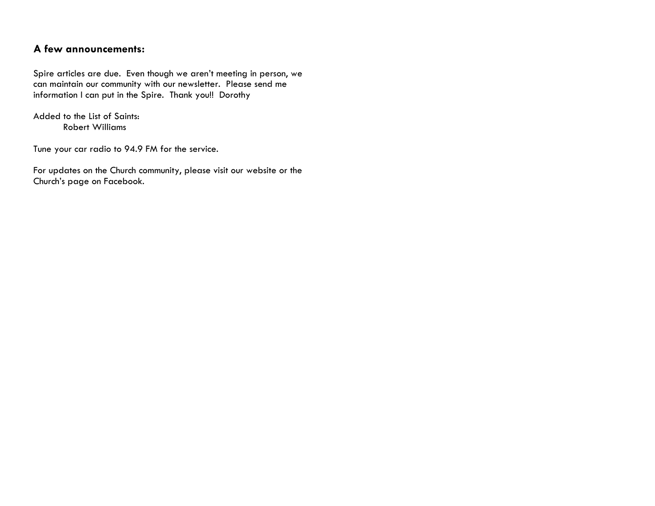# **A few announcements:**

Spire articles are due. Even though we aren't meeting in person, we can maintain our community with our newsletter. Please send me information I can put in the Spire. Thank you!! Dorothy

Added to the List of Saints: Robert Williams

Tune your car radio to 94.9 FM for the service.

For updates on the Church community, please visit our website or the Church's page on Facebook.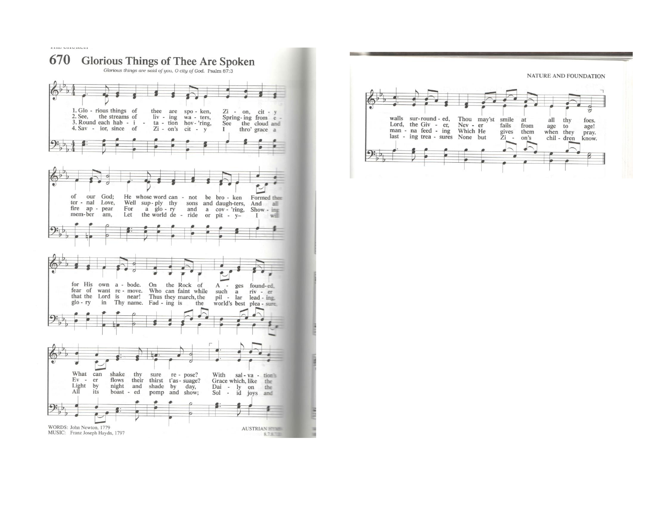